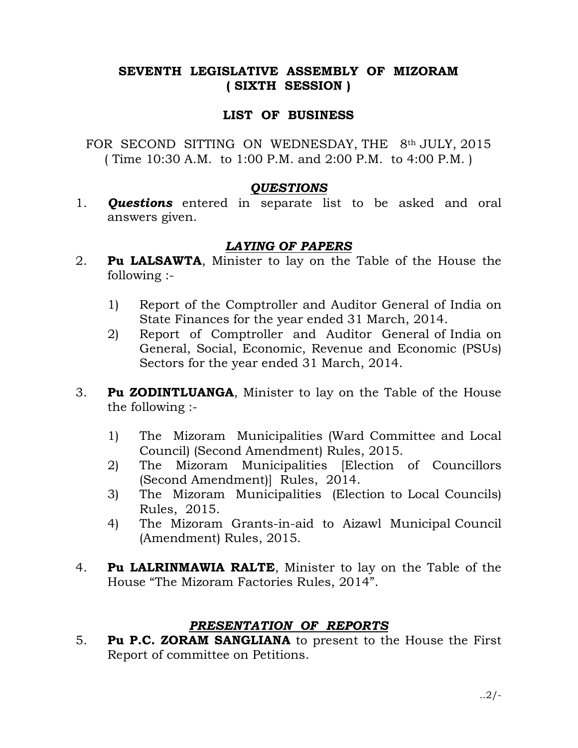## SEVENTH LEGISLATIVE ASSEMBLY OF MIZORAM ( SIXTH SESSION )

## LIST OF BUSINESS

FOR SECOND SITTING ON WEDNESDAY, THE 8th JULY, 2015 ( Time 10:30 A.M. to 1:00 P.M. and 2:00 P.M. to 4:00 P.M. )

#### **QUESTIONS**

1. **Questions** entered in separate list to be asked and oral answers given.

## LAYING OF PAPERS

- 2. **Pu LALSAWTA**, Minister to lay on the Table of the House the following :-
	- 1) Report of the Comptroller and Auditor General of India on State Finances for the year ended 31 March, 2014.
	- 2) Report of Comptroller and Auditor General of India on General, Social, Economic, Revenue and Economic (PSUs) Sectors for the year ended 31 March, 2014.
- 3. Pu ZODINTLUANGA, Minister to lay on the Table of the House the following :-
	- 1) The Mizoram Municipalities (Ward Committee and Local Council) (Second Amendment) Rules, 2015.
	- 2) The Mizoram Municipalities [Election of Councillors (Second Amendment)] Rules, 2014.
	- 3) The Mizoram Municipalities (Election to Local Councils) Rules, 2015.
	- 4) The Mizoram Grants-in-aid to Aizawl Municipal Council (Amendment) Rules, 2015.
- 4. Pu LALRINMAWIA RALTE, Minister to lay on the Table of the House "The Mizoram Factories Rules, 2014".

# PRESENTATION OF REPORTS

5. Pu P.C. ZORAM SANGLIANA to present to the House the First Report of committee on Petitions.